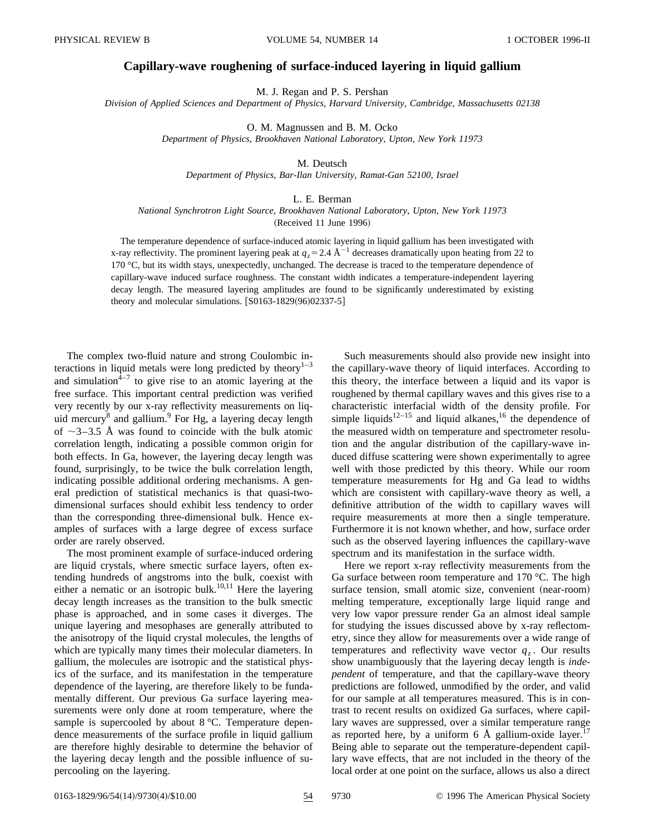## **Capillary-wave roughening of surface-induced layering in liquid gallium**

M. J. Regan and P. S. Pershan

*Division of Applied Sciences and Department of Physics, Harvard University, Cambridge, Massachusetts 02138*

O. M. Magnussen and B. M. Ocko

*Department of Physics, Brookhaven National Laboratory, Upton, New York 11973*

M. Deutsch

*Department of Physics, Bar-Ilan University, Ramat-Gan 52100, Israel*

L. E. Berman

*National Synchrotron Light Source, Brookhaven National Laboratory, Upton, New York 11973*

 $(Received 11 June 1996)$ 

The temperature dependence of surface-induced atomic layering in liquid gallium has been investigated with x-ray reflectivity. The prominent layering peak at  $q_z = 2.4 \text{ Å}^{-1}$  decreases dramatically upon heating from 22 to 170 °C, but its width stays, unexpectedly, unchanged. The decrease is traced to the temperature dependence of capillary-wave induced surface roughness. The constant width indicates a temperature-independent layering decay length. The measured layering amplitudes are found to be significantly underestimated by existing theory and molecular simulations.  $[$0163-1829(96)02337-5]$ 

The complex two-fluid nature and strong Coulombic interactions in liquid metals were long predicted by theory<sup>1–3</sup> and simulation<sup>4-7</sup> to give rise to an atomic layering at the free surface. This important central prediction was verified very recently by our x-ray reflectivity measurements on liquid mercury<sup>8</sup> and gallium.<sup>9</sup> For Hg, a layering decay length of  $\sim$ 3–3.5 Å was found to coincide with the bulk atomic correlation length, indicating a possible common origin for both effects. In Ga, however, the layering decay length was found, surprisingly, to be twice the bulk correlation length, indicating possible additional ordering mechanisms. A general prediction of statistical mechanics is that quasi-twodimensional surfaces should exhibit less tendency to order than the corresponding three-dimensional bulk. Hence examples of surfaces with a large degree of excess surface order are rarely observed.

The most prominent example of surface-induced ordering are liquid crystals, where smectic surface layers, often extending hundreds of angstroms into the bulk, coexist with either a nematic or an isotropic bulk.<sup>10,11</sup> Here the layering decay length increases as the transition to the bulk smectic phase is approached, and in some cases it diverges. The unique layering and mesophases are generally attributed to the anisotropy of the liquid crystal molecules, the lengths of which are typically many times their molecular diameters. In gallium, the molecules are isotropic and the statistical physics of the surface, and its manifestation in the temperature dependence of the layering, are therefore likely to be fundamentally different. Our previous Ga surface layering measurements were only done at room temperature, where the sample is supercooled by about 8 °C. Temperature dependence measurements of the surface profile in liquid gallium are therefore highly desirable to determine the behavior of the layering decay length and the possible influence of supercooling on the layering.

Such measurements should also provide new insight into the capillary-wave theory of liquid interfaces. According to this theory, the interface between a liquid and its vapor is roughened by thermal capillary waves and this gives rise to a characteristic interfacial width of the density profile. For simple liquids<sup>12–15</sup> and liquid alkanes,<sup>16</sup> the dependence of the measured width on temperature and spectrometer resolution and the angular distribution of the capillary-wave induced diffuse scattering were shown experimentally to agree well with those predicted by this theory. While our room temperature measurements for Hg and Ga lead to widths which are consistent with capillary-wave theory as well, a definitive attribution of the width to capillary waves will require measurements at more then a single temperature. Furthermore it is not known whether, and how, surface order such as the observed layering influences the capillary-wave spectrum and its manifestation in the surface width.

Here we report x-ray reflectivity measurements from the Ga surface between room temperature and 170 °C. The high surface tension, small atomic size, convenient (near-room) melting temperature, exceptionally large liquid range and very low vapor pressure render Ga an almost ideal sample for studying the issues discussed above by x-ray reflectometry, since they allow for measurements over a wide range of temperatures and reflectivity wave vector  $q<sub>z</sub>$ . Our results show unambiguously that the layering decay length is *independent* of temperature, and that the capillary-wave theory predictions are followed, unmodified by the order, and valid for our sample at all temperatures measured. This is in contrast to recent results on oxidized Ga surfaces, where capillary waves are suppressed, over a similar temperature range as reported here, by a uniform  $6 \text{ Å}$  gallium-oxide layer.<sup>17</sup> Being able to separate out the temperature-dependent capillary wave effects, that are not included in the theory of the local order at one point on the surface, allows us also a direct

0163-1829/96/54(14)/9730(4)/\$10.00 54 9730 © 1996 The American Physical Society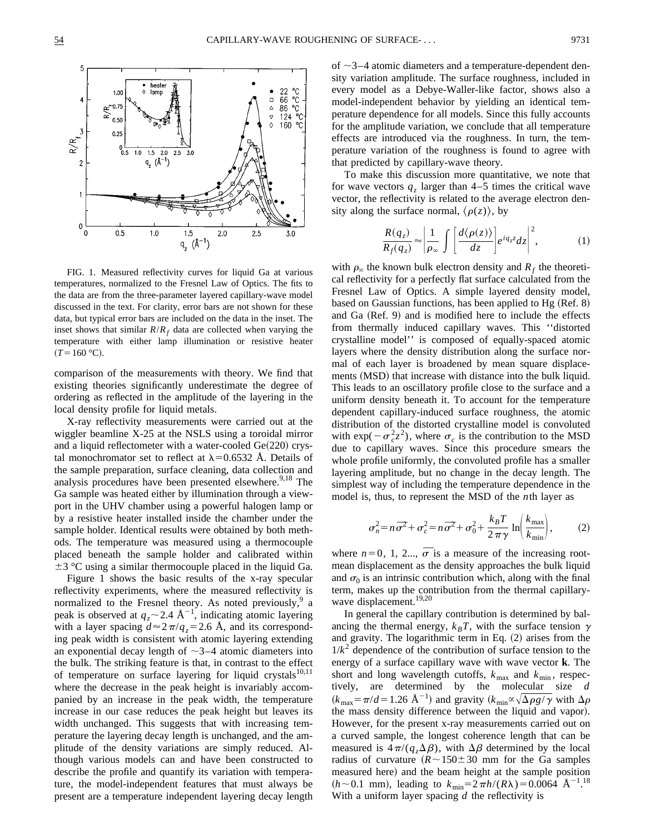

FIG. 1. Measured reflectivity curves for liquid Ga at various temperatures, normalized to the Fresnel Law of Optics. The fits to the data are from the three-parameter layered capillary-wave model discussed in the text. For clarity, error bars are not shown for these data, but typical error bars are included on the data in the inset. The inset shows that similar  $R/R_f$  data are collected when varying the temperature with either lamp illumination or resistive heater  $(T=160 \degree C)$ .

comparison of the measurements with theory. We find that existing theories significantly underestimate the degree of ordering as reflected in the amplitude of the layering in the local density profile for liquid metals.

X-ray reflectivity measurements were carried out at the wiggler beamline X-25 at the NSLS using a toroidal mirror and a liquid reflectometer with a water-cooled  $Ge(220)$  crystal monochromator set to reflect at  $\lambda$ =0.6532 Å. Details of the sample preparation, surface cleaning, data collection and analysis procedures have been presented elsewhere.<sup>9,18</sup> The Ga sample was heated either by illumination through a viewport in the UHV chamber using a powerful halogen lamp or by a resistive heater installed inside the chamber under the sample holder. Identical results were obtained by both methods. The temperature was measured using a thermocouple placed beneath the sample holder and calibrated within  $\pm$ 3 °C using a similar thermocouple placed in the liquid Ga.

Figure 1 shows the basic results of the x-ray specular reflectivity experiments, where the measured reflectivity is normalized to the Fresnel theory. As noted previously,<sup>9</sup> a peak is observed at  $q_z \sim 2.4 \text{ Å}^{-1}$ , indicating atomic layering with a layer spacing  $d \approx 2\pi/q_z = 2.6$  Å, and its corresponding peak width is consistent with atomic layering extending an exponential decay length of  $\sim$ 3–4 atomic diameters into the bulk. The striking feature is that, in contrast to the effect of temperature on surface layering for liquid crystals<sup>10,11</sup> where the decrease in the peak height is invariably accompanied by an increase in the peak width, the temperature increase in our case reduces the peak height but leaves its width unchanged. This suggests that with increasing temperature the layering decay length is unchanged, and the amplitude of the density variations are simply reduced. Although various models can and have been constructed to describe the profile and quantify its variation with temperature, the model-independent features that must always be present are a temperature independent layering decay length of  $\sim$ 3–4 atomic diameters and a temperature-dependent density variation amplitude. The surface roughness, included in every model as a Debye-Waller-like factor, shows also a model-independent behavior by yielding an identical temperature dependence for all models. Since this fully accounts for the amplitude variation, we conclude that all temperature effects are introduced via the roughness. In turn, the temperature variation of the roughness is found to agree with that predicted by capillary-wave theory.

To make this discussion more quantitative, we note that for wave vectors  $q_z$  larger than  $4-5$  times the critical wave vector, the reflectivity is related to the average electron density along the surface normal,  $\langle \rho(z) \rangle$ , by

$$
\frac{R(q_z)}{R_f(q_z)} \approx \left| \frac{1}{\rho_{\infty}} \int \left[ \frac{d\langle \rho(z) \rangle}{dz} \right] e^{iq_z z} dz \right|^2, \tag{1}
$$

with  $\rho_{\infty}$  the known bulk electron density and  $R_f$  the theoretical reflectivity for a perfectly flat surface calculated from the Fresnel Law of Optics. A simple layered density model, based on Gaussian functions, has been applied to  $Hg$  (Ref. 8) and Ga (Ref. 9) and is modified here to include the effects from thermally induced capillary waves. This ''distorted crystalline model'' is composed of equally-spaced atomic layers where the density distribution along the surface normal of each layer is broadened by mean square displacements (MSD) that increase with distance into the bulk liquid. This leads to an oscillatory profile close to the surface and a uniform density beneath it. To account for the temperature dependent capillary-induced surface roughness, the atomic distribution of the distorted crystalline model is convoluted with  $\exp(-\sigma_c^2 z^2)$ , where  $\sigma_c$  is the contribution to the MSD due to capillary waves. Since this procedure smears the whole profile uniformly, the convoluted profile has a smaller layering amplitude, but no change in the decay length. The simplest way of including the temperature dependence in the model is, thus, to represent the MSD of the *n*th layer as

$$
\sigma_n^2 = n\,\overline{\sigma}^2 + \sigma_c^2 = n\,\overline{\sigma}^2 + \sigma_0^2 + \frac{k_B T}{2\,\pi\,\gamma} \ln\left(\frac{k_{\text{max}}}{k_{\text{min}}}\right),\tag{2}
$$

where  $n=0, 1, 2...$ ,  $\overline{\sigma}$  is a measure of the increasing rootmean displacement as the density approaches the bulk liquid and  $\sigma_0$  is an intrinsic contribution which, along with the final term, makes up the contribution from the thermal capillarywave displacement.<sup>19,20</sup>

In general the capillary contribution is determined by balancing the thermal energy,  $k_BT$ , with the surface tension  $\gamma$ and gravity. The logarithmic term in Eq.  $(2)$  arises from the  $1/k<sup>2</sup>$  dependence of the contribution of surface tension to the energy of a surface capillary wave with wave vector **k**. The short and long wavelength cutoffs,  $k_{\text{max}}$  and  $k_{\text{min}}$ , respectively, are determined by the molecular size *d*  $(k_{\text{max}} = \pi/d = 1.26 \text{ Å}^{-1})$  and gravity  $(k_{\text{min}} \propto \sqrt{\Delta \rho g / \gamma}$  with  $\Delta \rho$ the mass density difference between the liquid and vapor). However, for the present x-ray measurements carried out on a curved sample, the longest coherence length that can be measured is  $4\pi/(q_z\Delta\beta)$ , with  $\Delta\beta$  determined by the local radius of curvature  $(R \sim 150 \pm 30$  mm for the Ga samples measured here) and the beam height at the sample position  $(h \sim 0.1 \text{ mm})$ , leading to  $k_{\text{min}} = 2 \pi h / (R\lambda) = 0.0064 \text{ Å}^{-1.18}$ With a uniform layer spacing *d* the reflectivity is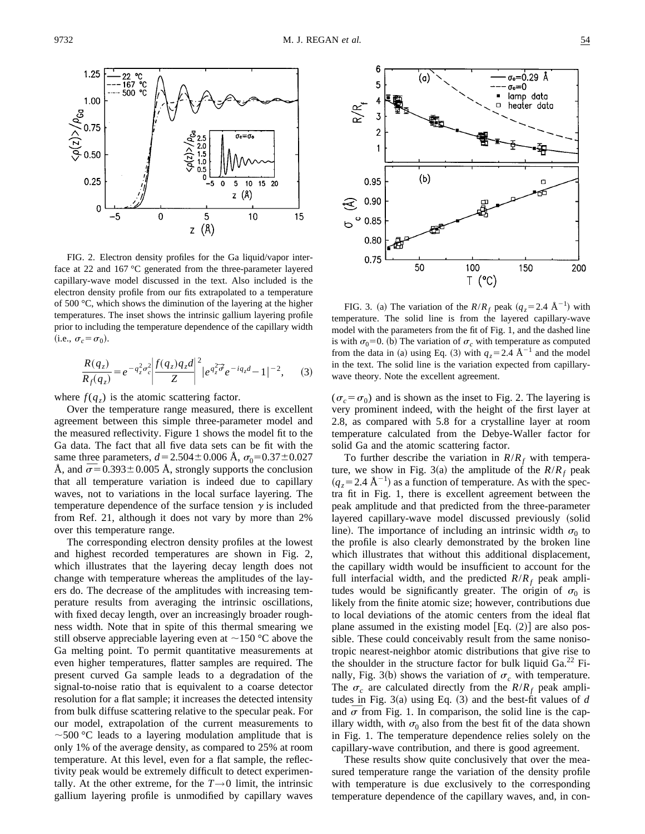

FIG. 2. Electron density profiles for the Ga liquid/vapor interface at 22 and 167 °C generated from the three-parameter layered capillary-wave model discussed in the text. Also included is the electron density profile from our fits extrapolated to a temperature of 500 °C, which shows the diminution of the layering at the higher temperatures. The inset shows the intrinsic gallium layering profile prior to including the temperature dependence of the capillary width (i.e.,  $\sigma_c = \sigma_0$ ).

$$
\frac{R(q_z)}{R_f(q_z)} = e^{-q_z^2 \sigma_c^2} \left| \frac{f(q_z) q_z d}{Z} \right|^2 \left| e^{q_z^2 \overline{\sigma}^2} e^{-iq_z d} - 1 \right|^{-2},\tag{3}
$$

where  $f(q_z)$  is the atomic scattering factor.

Over the temperature range measured, there is excellent agreement between this simple three-parameter model and the measured reflectivity. Figure 1 shows the model fit to the Ga data. The fact that all five data sets can be fit with the same three parameters,  $d=2.504\pm0.006$  Å,  $\sigma_0=0.37\pm0.027$ same three parameters,  $d = 2.504 \pm 0.006$  A,  $\sigma_0 = 0.37 \pm 0.027$ <br>Å, and  $\bar{\sigma} = 0.393 \pm 0.005$  Å, strongly supports the conclusion that all temperature variation is indeed due to capillary waves, not to variations in the local surface layering. The temperature dependence of the surface tension  $\gamma$  is included from Ref. 21, although it does not vary by more than 2% over this temperature range.

The corresponding electron density profiles at the lowest and highest recorded temperatures are shown in Fig. 2, which illustrates that the layering decay length does not change with temperature whereas the amplitudes of the layers do. The decrease of the amplitudes with increasing temperature results from averaging the intrinsic oscillations, with fixed decay length, over an increasingly broader roughness width. Note that in spite of this thermal smearing we still observe appreciable layering even at  $\sim$ 150 °C above the Ga melting point. To permit quantitative measurements at even higher temperatures, flatter samples are required. The present curved Ga sample leads to a degradation of the signal-to-noise ratio that is equivalent to a coarse detector resolution for a flat sample; it increases the detected intensity from bulk diffuse scattering relative to the specular peak. For our model, extrapolation of the current measurements to  $\sim$  500 °C leads to a layering modulation amplitude that is only 1% of the average density, as compared to 25% at room temperature. At this level, even for a flat sample, the reflectivity peak would be extremely difficult to detect experimentally. At the other extreme, for the  $T\rightarrow 0$  limit, the intrinsic gallium layering profile is unmodified by capillary waves



FIG. 3. (a) The variation of the  $R/R_f$  peak  $(q_z=2.4 \text{ Å}^{-1})$  with temperature. The solid line is from the layered capillary-wave model with the parameters from the fit of Fig. 1, and the dashed line is with  $\sigma_0$ =0. (b) The variation of  $\sigma_c$  with temperature as computed from the data in (a) using Eq. (3) with  $q_z = 2.4 \text{ Å}^{-1}$  and the model in the text. The solid line is the variation expected from capillarywave theory. Note the excellent agreement.

 $(\sigma_c = \sigma_0)$  and is shown as the inset to Fig. 2. The layering is very prominent indeed, with the height of the first layer at 2.8, as compared with 5.8 for a crystalline layer at room temperature calculated from the Debye-Waller factor for solid Ga and the atomic scattering factor.

To further describe the variation in  $R/R<sub>f</sub>$  with temperature, we show in Fig. 3(a) the amplitude of the  $R/R_f$  peak  $(q_z=2.4 \text{ Å}^{-1})$  as a function of temperature. As with the spectra fit in Fig. 1, there is excellent agreement between the peak amplitude and that predicted from the three-parameter layered capillary-wave model discussed previously (solid line). The importance of including an intrinsic width  $\sigma_0$  to the profile is also clearly demonstrated by the broken line which illustrates that without this additional displacement, the capillary width would be insufficient to account for the full interfacial width, and the predicted  $R/R_f$  peak amplitudes would be significantly greater. The origin of  $\sigma_0$  is likely from the finite atomic size; however, contributions due to local deviations of the atomic centers from the ideal flat plane assumed in the existing model  $[Eq. (2)]$  are also possible. These could conceivably result from the same nonisotropic nearest-neighbor atomic distributions that give rise to the shoulder in the structure factor for bulk liquid  $Ga^{22}$  Finally, Fig. 3(b) shows the variation of  $\sigma_c$  with temperature. The  $\sigma_c$  are calculated directly from the  $R/R_f$  peak amplitudes in Fig.  $3(a)$  using Eq.  $(3)$  and the best-fit values of *d* tudes in Fig.  $\mathfrak{z}(a)$  using Eq. (3) and the best-fit values of d and  $\overline{\sigma}$  from Fig. 1. In comparison, the solid line is the capillary width, with  $\sigma_0$  also from the best fit of the data shown in Fig. 1. The temperature dependence relies solely on the capillary-wave contribution, and there is good agreement.

These results show quite conclusively that over the measured temperature range the variation of the density profile with temperature is due exclusively to the corresponding temperature dependence of the capillary waves, and, in con